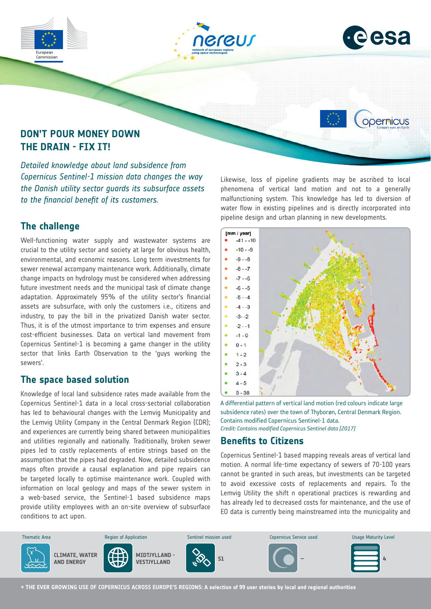





opernicus

# **DON'T POUR MONEY DOWN THE DRAIN - FIX IT!**

*Detailed knowledge about land subsidence from Copernicus Sentinel-1 mission data changes the way the Danish utility sector guards its subsurface assets to the financial benefit of its customers.*

## **The challenge**

Well-functioning water supply and wastewater systems are crucial to the utility sector and society at large for obvious health, environmental, and economic reasons. Long term investments for sewer renewal accompany maintenance work. Additionally, climate change impacts on hydrology must be considered when addressing future investment needs and the municipal task of climate change adaptation. Approximately 95% of the utility sector's financial assets are subsurface, with only the customers i.e., citizens and industry, to pay the bill in the privatized Danish water sector. Thus, it is of the utmost importance to trim expenses and ensure cost-efficient businesses. Data on vertical land movement from Copernicus Sentinel-1 is becoming a game changer in the utility sector that links Earth Observation to the 'guys working the sewers'.

## **The space based solution**

Knowledge of local land subsidence rates made available from the Copernicus Sentinel-1 data in a local cross-sectorial collaboration has led to behavioural changes with the Lemvig Municipality and the Lemvig Utility Company in the Central Denmark Region (CDR); and experiences are currently being shared between municipalities and utilities regionally and nationally. Traditionally, broken sewer pipes led to costly replacements of entire strings based on the assumption that the pipes had degraded. Now, detailed subsidence maps often provide a causal explanation and pipe repairs can be targeted locally to optimise maintenance work. Coupled with information on local geology and maps of the sewer system in a web-based service, the Sentinel-1 based subsidence maps provide utility employees with an on-site overview of subsurface conditions to act upon.

Likewise, loss of pipeline gradients may be ascribed to local phenomena of vertical land motion and not to a generally malfunctioning system. This knowledge has led to diversion of water flow in existing pipelines and is directly incorporated into pipeline design and urban planning in new developments.



A differential pattern of vertical land motion (red colours indicate large subsidence rates) over the town of Thyborøn, Central Denmark Region. Contains modified Copernicus Sentinel-1 data. *Credit: Contains modified Copernicus Sentinel data [2017]*

## **Benefits to Citizens**

Copernicus Sentinel-1 based mapping reveals areas of vertical land motion. A normal life-time expectancy of sewers of 70-100 years cannot be granted in such areas, but investments can be targeted to avoid excessive costs of replacements and repairs. To the Lemvig Utility the shift n operational practices is rewarding and has already led to decreased costs for maintenance, and the use of EO data is currently being mainstreamed into the municipality and



**→ THE EVER GROWING USE OF COPERNICUS ACROSS EUROPE'S REGIONS: A selection of 99 user stories by local and regional authorities**